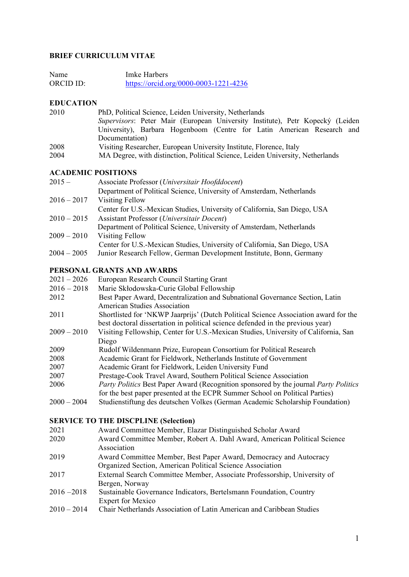# **BRIEF CURRICULUM VITAE**

| Name      | Imke Harbers                          |
|-----------|---------------------------------------|
| ORCID ID: | https://orcid.org/0000-0003-1221-4236 |

# **EDUCATION**

| 2010 | PhD, Political Science, Leiden University, Netherlands                         |  |  |  |  |
|------|--------------------------------------------------------------------------------|--|--|--|--|
|      | Supervisors: Peter Mair (European University Institute), Petr Kopecký (Leiden  |  |  |  |  |
|      | University), Barbara Hogenboom (Centre for Latin American Research and         |  |  |  |  |
|      | Documentation)                                                                 |  |  |  |  |
| 2008 | Visiting Researcher, European University Institute, Florence, Italy            |  |  |  |  |
| 2004 | MA Degree, with distinction, Political Science, Leiden University, Netherlands |  |  |  |  |

### **ACADEMIC POSITIONS**

| $2015 -$      | Associate Professor (Universitair Hoofddocent)                            |  |  |  |
|---------------|---------------------------------------------------------------------------|--|--|--|
|               | Department of Political Science, University of Amsterdam, Netherlands     |  |  |  |
| $2016 - 2017$ | Visiting Fellow                                                           |  |  |  |
|               | Center for U.S.-Mexican Studies, University of California, San Diego, USA |  |  |  |
| $2010 - 2015$ | Assistant Professor (Universitair Docent)                                 |  |  |  |
|               | Department of Political Science, University of Amsterdam, Netherlands     |  |  |  |
| $2009 - 2010$ | Visiting Fellow                                                           |  |  |  |
|               | Center for U.S.-Mexican Studies, University of California, San Diego, USA |  |  |  |
| $2004 - 2005$ | Junior Research Fellow, German Development Institute, Bonn, Germany       |  |  |  |
|               |                                                                           |  |  |  |

# **PERSONAL GRANTS AND AWARDS**

| $2021 - 2026$ | European Research Council Starting Grant                                             |
|---------------|--------------------------------------------------------------------------------------|
| $2016 - 2018$ | Marie Skłodowska-Curie Global Fellowship                                             |
| 2012          | Best Paper Award, Decentralization and Subnational Governance Section, Latin         |
|               | American Studies Association                                                         |
| 2011          | Shortlisted for 'NKWP Jaarprijs' (Dutch Political Science Association award for the  |
|               | best doctoral dissertation in political science defended in the previous year)       |
| $2009 - 2010$ | Visiting Fellowship, Center for U.S.-Mexican Studies, University of California, San  |
|               | Diego                                                                                |
| 2009          | Rudolf Wildenmann Prize, European Consortium for Political Research                  |
| 2008          | Academic Grant for Fieldwork, Netherlands Institute of Government                    |
| 2007          | Academic Grant for Fieldwork, Leiden University Fund                                 |
| 2007          | Prestage-Cook Travel Award, Southern Political Science Association                   |
| 2006          | Party Politics Best Paper Award (Recognition sponsored by the journal Party Politics |
|               | for the best paper presented at the ECPR Summer School on Political Parties)         |
| $2000 - 2004$ | Studienstiftung des deutschen Volkes (German Academic Scholarship Foundation)        |
|               |                                                                                      |

#### **SERVICE TO THE DISCPLINE (Selection)**

| 2021 | Award Committee Member, Elazar Distinguished Scholar Award |  |  |
|------|------------------------------------------------------------|--|--|
|      |                                                            |  |  |

- 2020 Award Committee Member, Robert A. Dahl Award, American Political Science Association
- 2019 Award Committee Member, Best Paper Award, Democracy and Autocracy Organized Section, American Political Science Association
- 2017 External Search Committee Member, Associate Professorship, University of Bergen, Norway
- 2016 2018 Sustainable Governance Indicators, Bertelsmann Foundation, Country Expert for Mexico
- 2010 2014 Chair Netherlands Association of Latin American and Caribbean Studies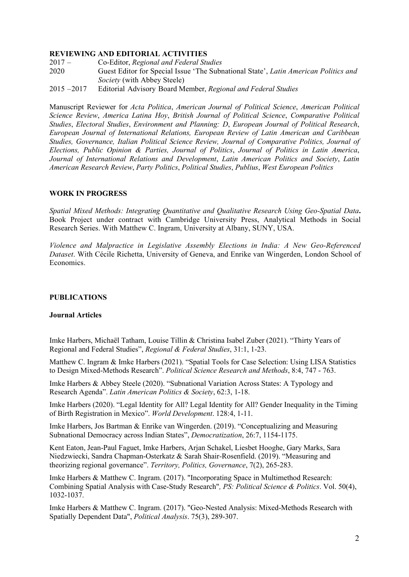### **REVIEWING AND EDITORIAL ACTIVITIES**

- 
- 2017 Co-Editor, *Regional and Federal Studies* 2020 Guest Editor for Special Issue 'The Subnational State', *Latin American Politics and Society* (with Abbey Steele)
- 2015 2017 Editorial Advisory Board Member, *Regional and Federal Studies*

Manuscript Reviewer for *Acta Politica*, *American Journal of Political Science*, *American Political Science Review*, *America Latina Hoy*, *British Journal of Political Science*, *Comparative Political Studies*, *Electoral Studies*, *Environment and Planning: D*, *European Journal of Political Research*, *European Journal of International Relations, European Review of Latin American and Caribbean Studies, Governance, Italian Political Science Review, Journal of Comparative Politics, Journal of Elections, Public Opinion & Parties, Journal of Politics*, *Journal of Politics in Latin America*, *Journal of International Relations and Development*, *Latin American Politics and Society*, *Latin American Research Review*, *Party Politics*, *Political Studies*, *Publius*, *West European Politics*

# **WORK IN PROGRESS**

*Spatial Mixed Methods: Integrating Quantitative and Qualitative Research Using Geo-Spatial Data***.**  Book Project under contract with Cambridge University Press, Analytical Methods in Social Research Series. With Matthew C. Ingram, University at Albany, SUNY, USA.

*Violence and Malpractice in Legislative Assembly Elections in India: A New Geo-Referenced Dataset*. With Cécile Richetta, University of Geneva, and Enrike van Wingerden, London School of Economics.

# **PUBLICATIONS**

#### **Journal Articles**

Imke Harbers, Michaël Tatham, Louise Tillin & Christina Isabel Zuber (2021). "Thirty Years of Regional and Federal Studies", *Regional & Federal Studies*, 31:1, 1-23.

Matthew C. Ingram & Imke Harbers (2021). "Spatial Tools for Case Selection: Using LISA Statistics to Design Mixed-Methods Research". *Political Science Research and Methods*, 8:4, 747 - 763.

Imke Harbers & Abbey Steele (2020). "Subnational Variation Across States: A Typology and Research Agenda". *Latin American Politics & Society*, 62:3, 1-18.

Imke Harbers (2020). "Legal Identity for All? Legal Identity for All? Gender Inequality in the Timing of Birth Registration in Mexico". *World Development*. 128:4, 1-11.

Imke Harbers, Jos Bartman & Enrike van Wingerden. (2019). "Conceptualizing and Measuring Subnational Democracy across Indian States", *Democratization*, 26:7, 1154-1175.

Kent Eaton, Jean-Paul Faguet, Imke Harbers, Arjan Schakel, Liesbet Hooghe, Gary Marks, Sara Niedzwiecki, Sandra Chapman-Osterkatz & Sarah Shair-Rosenfield. (2019). "Measuring and theorizing regional governance". *Territory, Politics, Governance*, 7(2), 265-283.

Imke Harbers & Matthew C. Ingram. (2017). "Incorporating Space in Multimethod Research: Combining Spatial Analysis with Case-Study Research"*, PS: Political Science & Politics*. Vol. 50(4), 1032-1037.

Imke Harbers & Matthew C. Ingram. (2017). ["Geo-Nested Analysis: Mixed-Methods Research with](https://www.cambridge.org/core/journals/political-analysis/article/geonested-analysis-mixedmethods-research-with-spatially-dependent-data/E5DB1F020D967E8B61AB1D67A2F860E2)  [Spatially Dependent Data"](https://www.cambridge.org/core/journals/political-analysis/article/geonested-analysis-mixedmethods-research-with-spatially-dependent-data/E5DB1F020D967E8B61AB1D67A2F860E2), *Political Analysis*. 75(3), 289-307.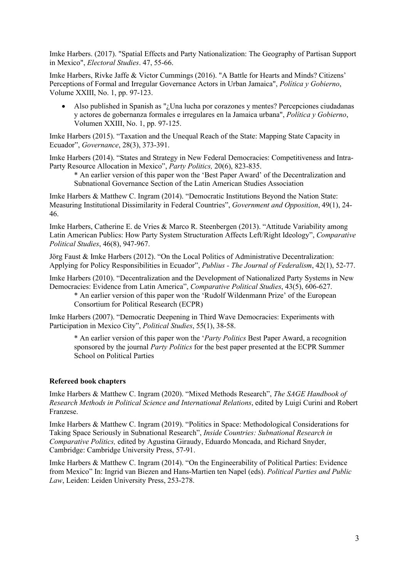Imke Harbers. (2017). ["Spatial Effects and Party Nationalization: The Geography of Partisan Support](http://www.sciencedirect.com/science/article/pii/S0261379416301044)  [in Mexico"](http://www.sciencedirect.com/science/article/pii/S0261379416301044), *Electoral Studies*. 47, 55-66.

Imke Harbers, Rivke Jaffe & Victor Cummings (2016). "A Battle for Hearts and Minds? Citizens' Perceptions of Formal and Irregular Governance Actors in Urban Jamaica", *Política y Gobierno*, Volume XXIII, No. 1, pp. 97-123.

• Also published in Spanish as "¿Una lucha por corazones y mentes? Percepciones ciudadanas y actores de gobernanza formales e irregulares en la Jamaica urbana", *Política y Gobierno*, Volumen XXIII, No. 1, pp. 97-125.

Imke Harbers (2015). "Taxation and the Unequal Reach of the State: Mapping State Capacity in Ecuador", *Governance*, 28(3), 373-391.

Imke Harbers (2014). "States and Strategy in New Federal Democracies: Competitiveness and Intra-Party Resource Allocation in Mexico", *Party Politics,* 20(6), 823-835.

\* An earlier version of this paper won the 'Best Paper Award' of the Decentralization and Subnational Governance Section of the Latin American Studies Association

Imke Harbers & Matthew C. Ingram (2014). "Democratic Institutions Beyond the Nation State: Measuring Institutional Dissimilarity in Federal Countries", *Government and Opposition*, 49(1), 24- 46.

Imke Harbers, Catherine E. de Vries & Marco R. Steenbergen (2013). "Attitude Variability among Latin American Publics: How Party System Structuration Affects Left/Right Ideology", *Comparative Political Studies*, 46(8), 947-967.

Jörg Faust & Imke Harbers (2012). "On the Local Politics of Administrative Decentralization: Applying for Policy Responsibilities in Ecuador", *Publius - The Journal of Federalism*, 42(1), 52-77.

Imke Harbers (2010). "Decentralization and the Development of Nationalized Party Systems in New Democracies: Evidence from Latin America", *Comparative Political Studies*, 43(5), 606-627.

\* An earlier version of this paper won the 'Rudolf Wildenmann Prize' of the European Consortium for Political Research (ECPR)

Imke Harbers (2007). "Democratic Deepening in Third Wave Democracies: Experiments with Participation in Mexico City", *Political Studies*, 55(1), 38-58.

\* An earlier version of this paper won the '*Party Politics* Best Paper Award, a recognition sponsored by the journal *Party Politics* for the best paper presented at the ECPR Summer School on Political Parties

# **Refereed book chapters**

Imke Harbers & Matthew C. Ingram (2020). "Mixed Methods Research", *The SAGE Handbook of Research Methods in Political Science and International Relations*, edited by Luigi Curini and Robert Franzese.

Imke Harbers & Matthew C. Ingram (2019). "Politics in Space: Methodological Considerations for Taking Space Seriously in Subnational Research", *Inside Countries: Subnational Research in Comparative Politics,* edited by Agustina Giraudy, Eduardo Moncada, and Richard Snyder, Cambridge: Cambridge University Press, 57-91.

Imke Harbers & Matthew C. Ingram (2014). "On the Engineerability of Political Parties: Evidence from Mexico" In: Ingrid van Biezen and Hans-Martien ten Napel (eds). *Political Parties and Public Law*, Leiden: Leiden University Press, 253-278.